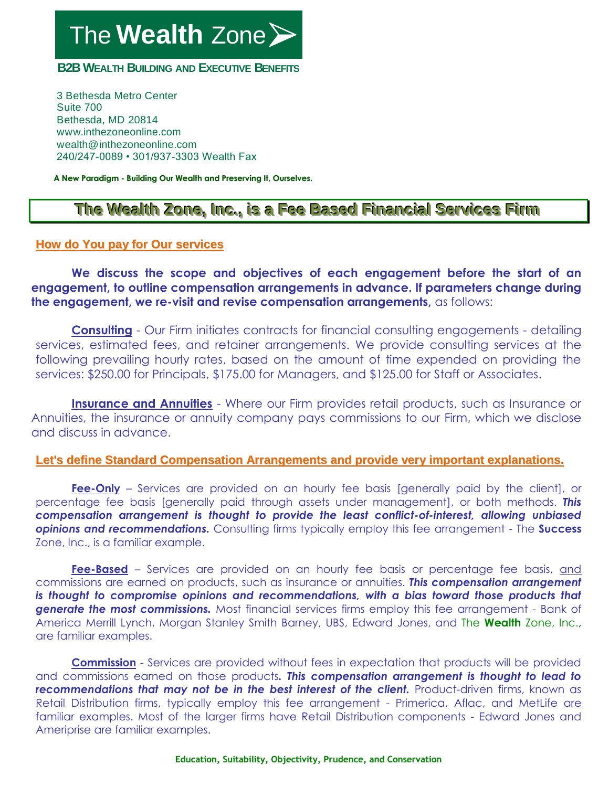The **Wealth** Zone

**B2B WEALTH BUILDING AND EXECUTIVE BENEFITS** 

3 Bethesda Metro Center Suite 700 Bethesda, MD 20814 www.inthezoneonline.com wealth@inthezoneonline.com 240/247-0089 • 301/937-3303 Wealth Fax

**A New Paradigm - Building Our Wealth and Preserving It, Ourselves.**

## **The Weallth Zone,, IInc..,, iis a Fee Based Fiinanciiall Serviices Fiirm**

## **How do You pay for Our services**

**We discuss the scope and objectives of each engagement before the start of an engagement, to outline compensation arrangements in advance. If parameters change during the engagement, we re-visit and revise compensation arrangements,** as follows:

**Consulting** - Our Firm initiates contracts for financial consulting engagements - detailing services, estimated fees, and retainer arrangements. We provide consulting services at the following prevailing hourly rates, based on the amount of time expended on providing the services: \$250.00 for Principals, \$175.00 for Managers, and \$125.00 for Staff or Associates.

**Insurance and Annuities** - Where our Firm provides retail products, such as Insurance or Annuities, the insurance or annuity company pays commissions to our Firm, which we disclose and discuss in advance.

## **Let's define Standard Compensation Arrangements and provide very important explanations.**

**Fee-Only** – Services are provided on an hourly fee basis [generally paid by the client], or percentage fee basis [generally paid through assets under management], or both methods. *This compensation arrangement is thought to provide the least conflict-of-interest, allowing unbiased opinions and recommendations.* Consulting firms typically employ this fee arrangement - The **Success** Zone, Inc., is a familiar example.

**Fee-Based** – Services are provided on an hourly fee basis or percentage fee basis, and commissions are earned on products, such as insurance or annuities. *This compensation arrangement is thought to compromise opinions and recommendations, with a bias toward those products that* **generate the most commissions.** Most financial services firms employ this fee arrangement - Bank of America Merrill Lynch, Morgan Stanley Smith Barney, UBS, Edward Jones, and The **Wealth** Zone, Inc., are familiar examples.

**Commission** - Services are provided without fees in expectation that products will be provided and commissions earned on those products*. This compensation arrangement is thought to lead to recommendations that may not be in the best interest of the client.* Product-driven firms, known as Retail Distribution firms, typically employ this fee arrangement - Primerica, Aflac, and MetLife are familiar examples. Most of the larger firms have Retail Distribution components - Edward Jones and Ameriprise are familiar examples.